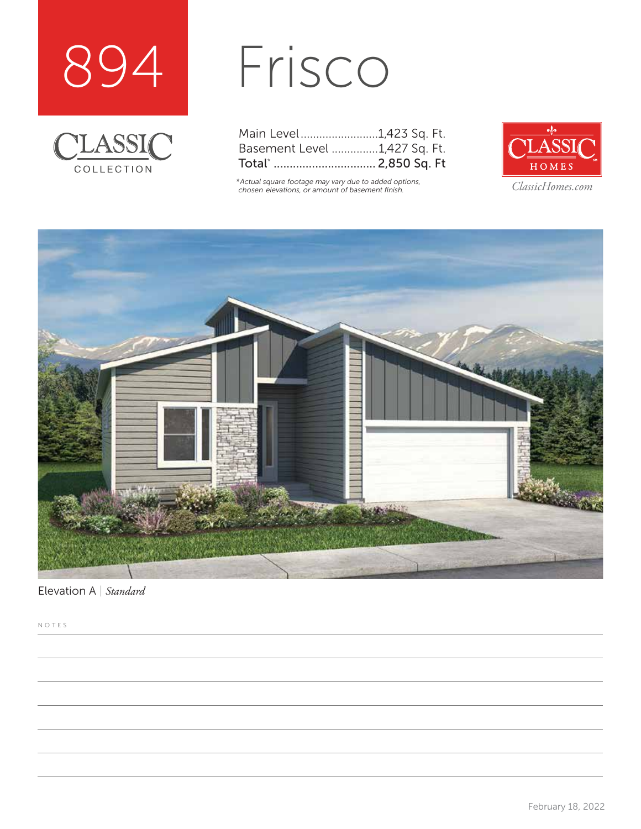



## Frisco

| Main Level1,423 Sq. Ft.      |  |  |
|------------------------------|--|--|
| Basement Level 1,427 Sq. Ft. |  |  |
| Total*  2,850 Sq. Ft         |  |  |

*\*Actual square footage may vary due to added options, chosen elevations, or amount of basement finish. ClassicHomes.com*





Elevation A | *Standard*

NOTES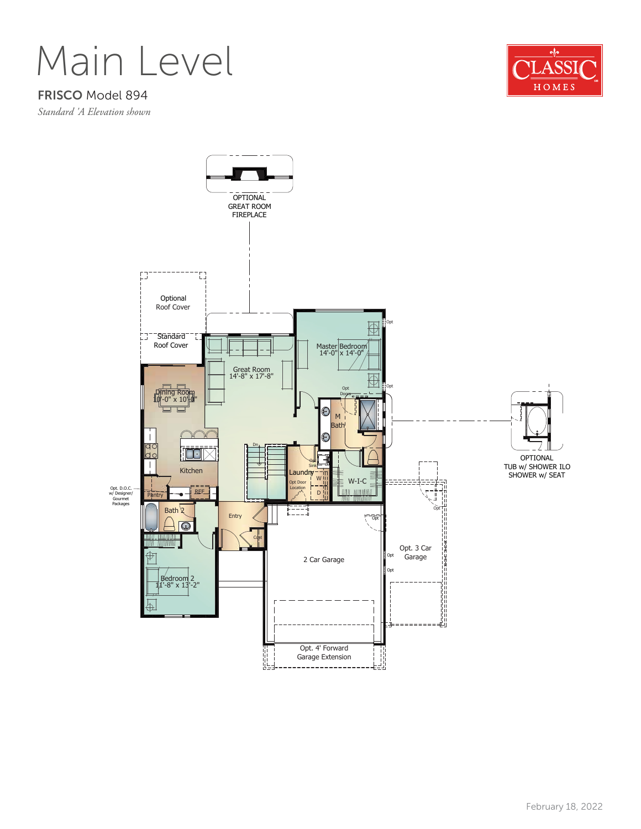Main Level

## FRISCO Model 894

*Standard 'A Elevation shown*



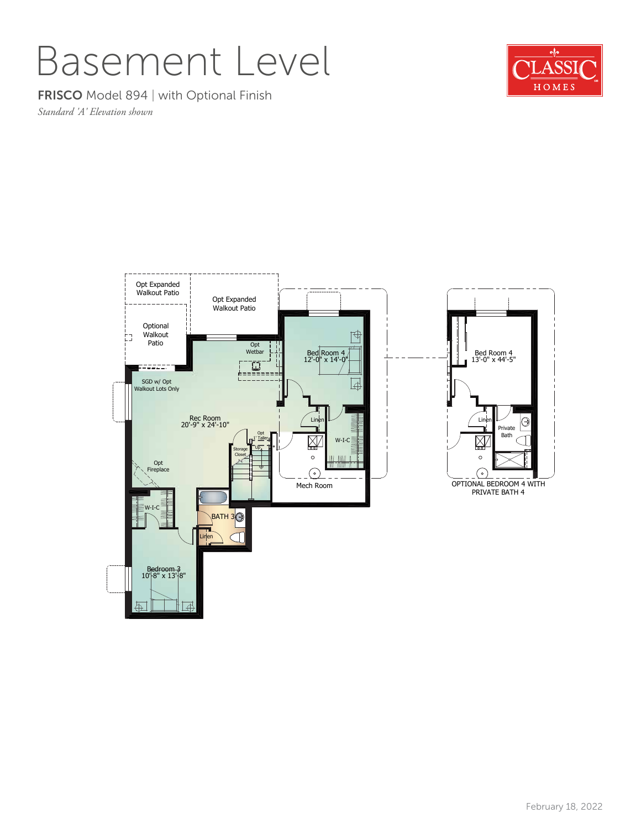## Basement Level

FRISCO Model 894 | with Optional Finish

*Standard 'A' Elevation shown*